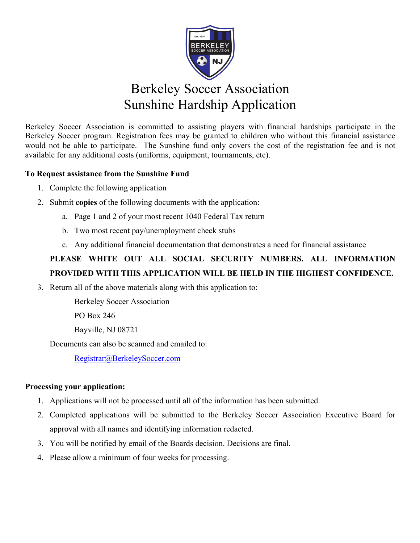

## Berkeley Soccer Association Sunshine Hardship Application

Berkeley Soccer Association is committed to assisting players with financial hardships participate in the Berkeley Soccer program. Registration fees may be granted to children who without this financial assistance would not be able to participate. The Sunshine fund only covers the cost of the registration fee and is not available for any additional costs (uniforms, equipment, tournaments, etc).

## **To Request assistance from the Sunshine Fund**

- 1. Complete the following application
- 2. Submit **copies** of the following documents with the application:
	- a. Page 1 and 2 of your most recent 1040 Federal Tax return
	- b. Two most recent pay/unemployment check stubs
	- c. Any additional financial documentation that demonstrates a need for financial assistance

## **PLEASE WHITE OUT ALL SOCIAL SECURITY NUMBERS. ALL INFORMATION PROVIDED WITH THIS APPLICATION WILL BE HELD IN THE HIGHEST CONFIDENCE.**

3. Return all of the above materials along with this application to:

Berkeley Soccer Association

PO Box 246

Bayville, NJ 08721

Documents can also be scanned and emailed to:

Registrar@BerkeleySoccer.com

## **Processing your application:**

- 1. Applications will not be processed until all of the information has been submitted.
- 2. Completed applications will be submitted to the Berkeley Soccer Association Executive Board for approval with all names and identifying information redacted.
- 3. You will be notified by email of the Boards decision. Decisions are final.
- 4. Please allow a minimum of four weeks for processing.